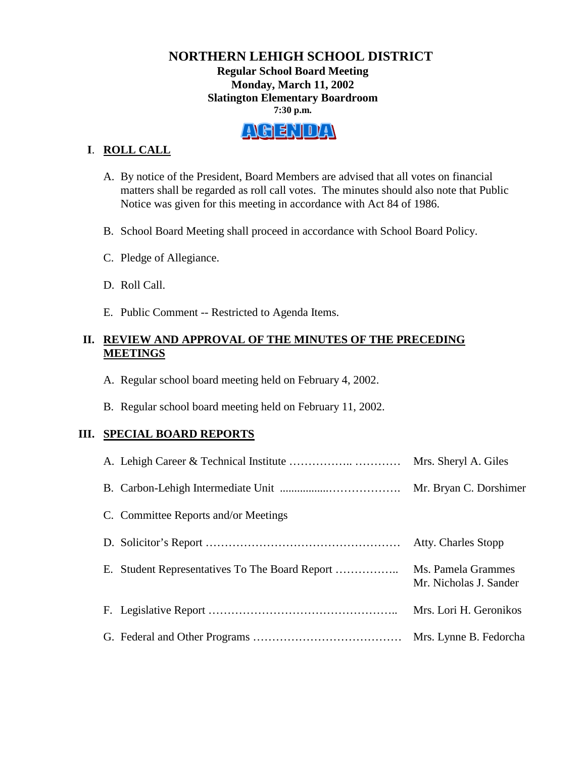#### **NORTHERN LEHIGH SCHOOL DISTRICT Regular School Board Meeting Monday, March 11, 2002 Slatington Elementary Boardroom 7:30 p.m.**

# A GENDA

# **I**. **ROLL CALL**

- A. By notice of the President, Board Members are advised that all votes on financial matters shall be regarded as roll call votes. The minutes should also note that Public Notice was given for this meeting in accordance with Act 84 of 1986.
- B. School Board Meeting shall proceed in accordance with School Board Policy.
- C. Pledge of Allegiance.
- D. Roll Call.
- E. Public Comment -- Restricted to Agenda Items.

### **II. REVIEW AND APPROVAL OF THE MINUTES OF THE PRECEDING MEETINGS**

- A. Regular school board meeting held on February 4, 2002.
- B. Regular school board meeting held on February 11, 2002.

# **III. SPECIAL BOARD REPORTS**

|                                      | Mrs. Sheryl A. Giles                         |
|--------------------------------------|----------------------------------------------|
|                                      | Mr. Bryan C. Dorshimer                       |
| C. Committee Reports and/or Meetings |                                              |
|                                      | <b>Atty. Charles Stopp</b>                   |
|                                      | Ms. Pamela Grammes<br>Mr. Nicholas J. Sander |
|                                      | Mrs. Lori H. Geronikos                       |
|                                      | Mrs. Lynne B. Fedorcha                       |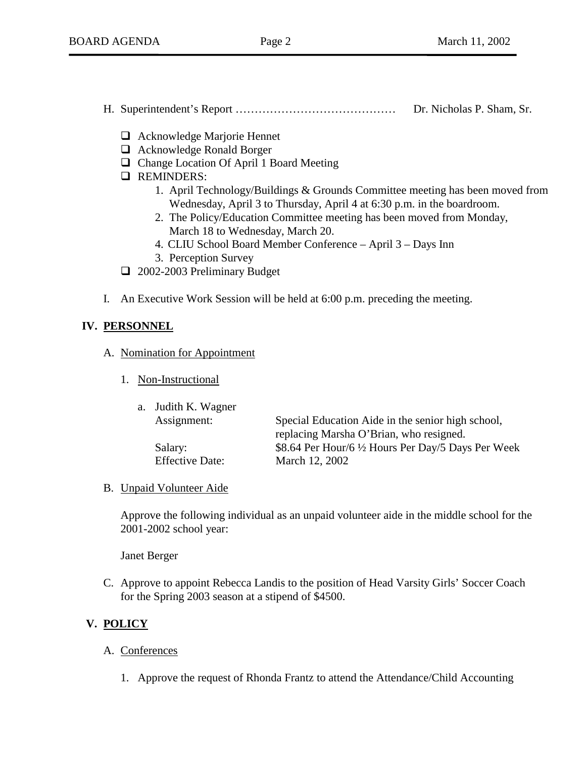- H. Superintendent's Report …………………………………… Dr. Nicholas P. Sham, Sr.
	- □ Acknowledge Marjorie Hennet
	- □ Acknowledge Ronald Borger
	- $\Box$  Change Location Of April 1 Board Meeting
	- **Q** REMINDERS:
		- 1. April Technology/Buildings & Grounds Committee meeting has been moved from Wednesday, April 3 to Thursday, April 4 at 6:30 p.m. in the boardroom.
		- 2. The Policy/Education Committee meeting has been moved from Monday, March 18 to Wednesday, March 20.
		- 4. CLIU School Board Member Conference April 3 Days Inn
		- 3. Perception Survey
	- **1** 2002-2003 Preliminary Budget
- I. An Executive Work Session will be held at 6:00 p.m. preceding the meeting.

#### **IV. PERSONNEL**

- A. Nomination for Appointment
	- 1. Non-Instructional

| a. Judith K. Wagner    |                                                     |
|------------------------|-----------------------------------------------------|
| Assignment:            | Special Education Aide in the senior high school,   |
|                        | replacing Marsha O'Brian, who resigned.             |
| Salary:                | \$8.64 Per Hour/6 1/2 Hours Per Day/5 Days Per Week |
| <b>Effective Date:</b> | March 12, 2002                                      |

#### B. Unpaid Volunteer Aide

Approve the following individual as an unpaid volunteer aide in the middle school for the 2001-2002 school year:

Janet Berger

C. Approve to appoint Rebecca Landis to the position of Head Varsity Girls' Soccer Coach for the Spring 2003 season at a stipend of \$4500.

# **V. POLICY**

- A. Conferences
	- 1. Approve the request of Rhonda Frantz to attend the Attendance/Child Accounting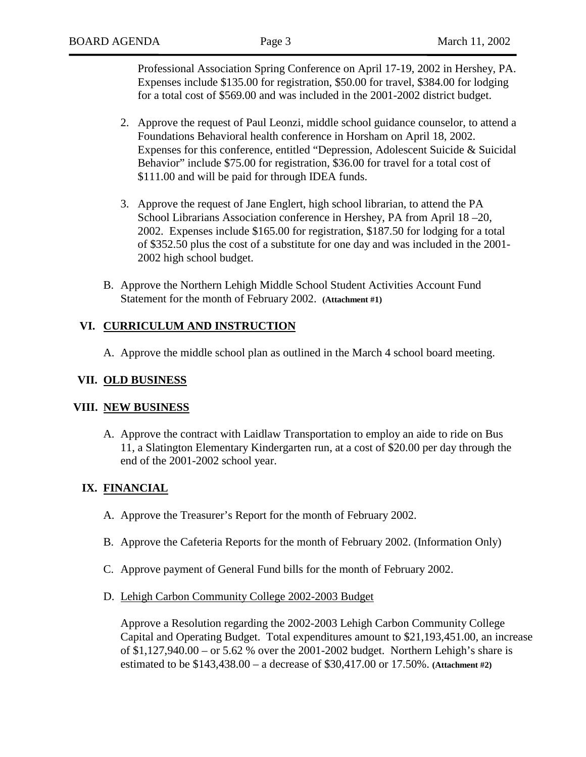Professional Association Spring Conference on April 17-19, 2002 in Hershey, PA. Expenses include \$135.00 for registration, \$50.00 for travel, \$384.00 for lodging for a total cost of \$569.00 and was included in the 2001-2002 district budget.

- 2. Approve the request of Paul Leonzi, middle school guidance counselor, to attend a Foundations Behavioral health conference in Horsham on April 18, 2002. Expenses for this conference, entitled "Depression, Adolescent Suicide & Suicidal Behavior" include \$75.00 for registration, \$36.00 for travel for a total cost of \$111.00 and will be paid for through IDEA funds.
- 3. Approve the request of Jane Englert, high school librarian, to attend the PA School Librarians Association conference in Hershey, PA from April 18 –20, 2002. Expenses include \$165.00 for registration, \$187.50 for lodging for a total of \$352.50 plus the cost of a substitute for one day and was included in the 2001- 2002 high school budget.
- B. Approve the Northern Lehigh Middle School Student Activities Account Fund Statement for the month of February 2002. **(Attachment #1)**

#### **VI. CURRICULUM AND INSTRUCTION**

A. Approve the middle school plan as outlined in the March 4 school board meeting.

#### **VII. OLD BUSINESS**

#### **VIII. NEW BUSINESS**

A. Approve the contract with Laidlaw Transportation to employ an aide to ride on Bus 11, a Slatington Elementary Kindergarten run, at a cost of \$20.00 per day through the end of the 2001-2002 school year.

#### **IX. FINANCIAL**

- A. Approve the Treasurer's Report for the month of February 2002.
- B. Approve the Cafeteria Reports for the month of February 2002. (Information Only)
- C. Approve payment of General Fund bills for the month of February 2002.
- D. Lehigh Carbon Community College 2002-2003 Budget

Approve a Resolution regarding the 2002-2003 Lehigh Carbon Community College Capital and Operating Budget. Total expenditures amount to \$21,193,451.00, an increase of \$1,127,940.00 – or 5.62 % over the 2001-2002 budget. Northern Lehigh's share is estimated to be \$143,438.00 – a decrease of \$30,417.00 or 17.50%. **(Attachment #2)**